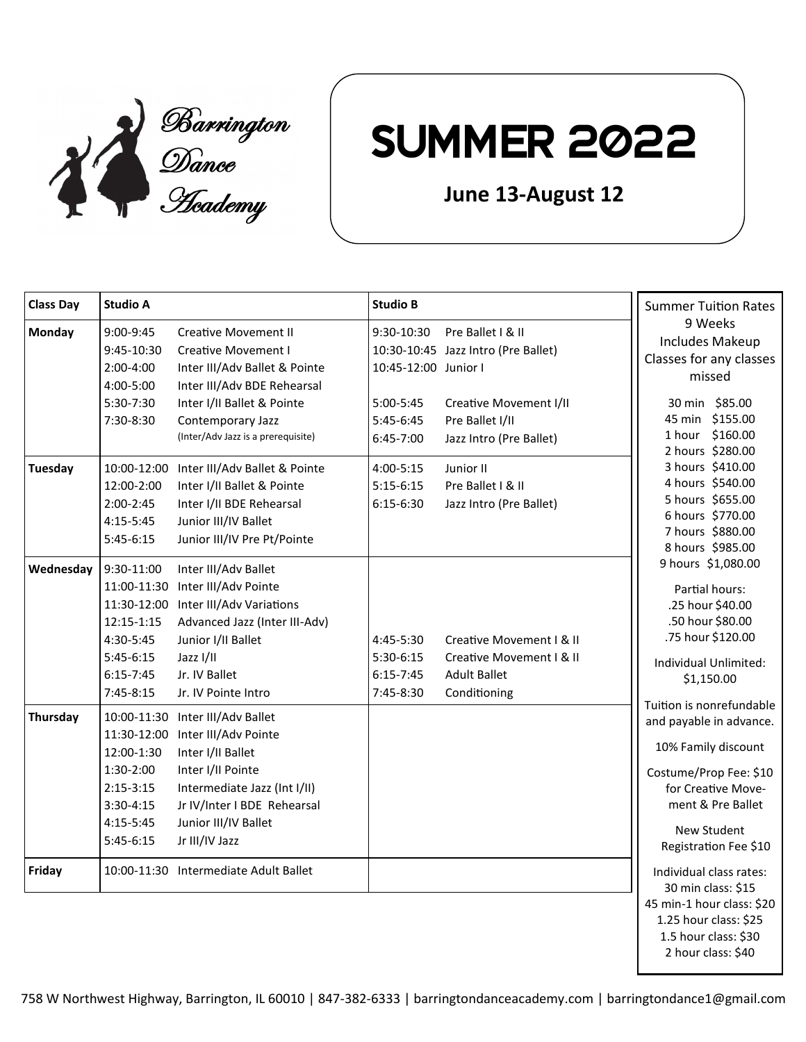

# Summer 2022

## **June 13-August 12**

| <b>Class Day</b> | <b>Studio A</b>                                                                          |                                                                                                                                                                                                              | <b>Studio B</b>                                          |                                                                                             | <b>Summer Tuition Rates</b>                                                                                                                     |
|------------------|------------------------------------------------------------------------------------------|--------------------------------------------------------------------------------------------------------------------------------------------------------------------------------------------------------------|----------------------------------------------------------|---------------------------------------------------------------------------------------------|-------------------------------------------------------------------------------------------------------------------------------------------------|
| <b>Monday</b>    | 9:00-9:45<br>9:45-10:30<br>2:00-4:00<br>4:00-5:00                                        | <b>Creative Movement II</b><br>Creative Movement I<br>Inter III/Adv Ballet & Pointe<br>Inter III/Adv BDE Rehearsal                                                                                           | 9:30-10:30<br>10:45-12:00 Junior I                       | Pre Ballet   & II<br>10:30-10:45 Jazz Intro (Pre Ballet)                                    | 9 Weeks<br><b>Includes Makeup</b><br>Classes for any classes<br>missed                                                                          |
|                  | 5:30-7:30<br>7:30-8:30                                                                   | Inter I/II Ballet & Pointe<br>Contemporary Jazz<br>(Inter/Adv Jazz is a prerequisite)                                                                                                                        | 5:00-5:45<br>5:45-6:45<br>6:45-7:00                      | Creative Movement I/II<br>Pre Ballet I/II<br>Jazz Intro (Pre Ballet)                        | 30 min \$85.00<br>45 min \$155.00<br>1 hour \$160.00<br>2 hours \$280.00                                                                        |
| <b>Tuesday</b>   | 12:00-2:00<br>$2:00-2:45$<br>4:15-5:45<br>$5:45-6:15$                                    | 10:00-12:00 Inter III/Adv Ballet & Pointe<br>Inter I/II Ballet & Pointe<br>Inter I/II BDE Rehearsal<br>Junior III/IV Ballet<br>Junior III/IV Pre Pt/Pointe                                                   | 4:00-5:15<br>$5:15-6:15$<br>$6:15-6:30$                  | Junior II<br>Pre Ballet   & II<br>Jazz Intro (Pre Ballet)                                   | 3 hours \$410.00<br>4 hours \$540.00<br>5 hours \$655.00<br>6 hours \$770.00<br>7 hours \$880.00<br>8 hours \$985.00                            |
| Wednesday        | 9:30-11:00<br>$12:15 - 1:15$<br>4:30-5:45<br>$5:45-6:15$<br>$6:15 - 7:45$<br>$7:45-8:15$ | Inter III/Adv Ballet<br>11:00-11:30 Inter III/Adv Pointe<br>11:30-12:00 Inter III/Adv Variations<br>Advanced Jazz (Inter III-Adv)<br>Junior I/II Ballet<br>Jazz I/II<br>Jr. IV Ballet<br>Jr. IV Pointe Intro | 4:45-5:30<br>$5:30-6:15$<br>$6:15 - 7:45$<br>$7:45-8:30$ | Creative Movement I & II<br>Creative Movement I & II<br><b>Adult Ballet</b><br>Conditioning | 9 hours \$1,080.00<br>Partial hours:<br>.25 hour \$40.00<br>.50 hour \$80.00<br>.75 hour \$120.00<br>Individual Unlimited:<br>\$1,150.00        |
| Thursday         | 12:00-1:30<br>1:30-2:00<br>$2:15-3:15$<br>3:30-4:15<br>4:15-5:45                         | 10:00-11:30 Inter III/Adv Ballet<br>11:30-12:00 Inter III/Adv Pointe<br>Inter I/II Ballet<br>Inter I/II Pointe<br>Intermediate Jazz (Int I/II)<br>Jr IV/Inter I BDE Rehearsal<br>Junior III/IV Ballet        |                                                          |                                                                                             | Tuition is nonrefundable<br>and payable in advance.<br>10% Family discount<br>Costume/Prop Fee: \$10<br>for Creative Move-<br>ment & Pre Ballet |
| Friday           | $5:45-6:15$                                                                              | Jr III/IV Jazz<br>10:00-11:30 Intermediate Adult Ballet                                                                                                                                                      |                                                          |                                                                                             | New Student<br>Registration Fee \$10<br>Individual class rates:<br>30 min class: \$15<br>45 min-1 hour class: \$20<br>1.25 hour class: \$25     |
|                  |                                                                                          |                                                                                                                                                                                                              |                                                          |                                                                                             | 1.5 hour class: \$30<br>2 hour class: \$40                                                                                                      |